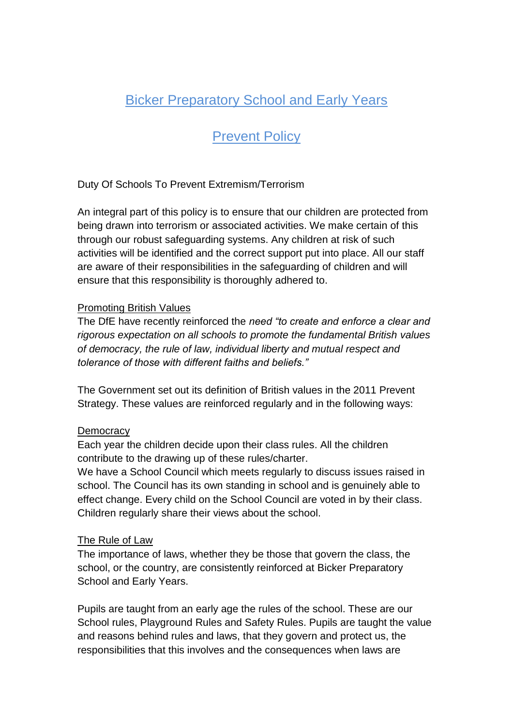# Bicker Preparatory School and Early Years

# **Prevent Policy**

Duty Of Schools To Prevent Extremism/Terrorism

An integral part of this policy is to ensure that our children are protected from being drawn into terrorism or associated activities. We make certain of this through our robust safeguarding systems. Any children at risk of such activities will be identified and the correct support put into place. All our staff are aware of their responsibilities in the safeguarding of children and will ensure that this responsibility is thoroughly adhered to.

#### Promoting British Values

The DfE have recently reinforced the *need "to create and enforce a clear and rigorous expectation on all schools to promote the fundamental British values of democracy, the rule of law, individual liberty and mutual respect and tolerance of those with different faiths and beliefs."*

The Government set out its definition of British values in the 2011 Prevent Strategy. These values are reinforced regularly and in the following ways:

### **Democracy**

Each year the children decide upon their class rules. All the children contribute to the drawing up of these rules/charter.

We have a School Council which meets regularly to discuss issues raised in school. The Council has its own standing in school and is genuinely able to effect change. Every child on the School Council are voted in by their class. Children regularly share their views about the school.

#### The Rule of Law

The importance of laws, whether they be those that govern the class, the school, or the country, are consistently reinforced at Bicker Preparatory School and Early Years.

Pupils are taught from an early age the rules of the school. These are our School rules, Playground Rules and Safety Rules. Pupils are taught the value and reasons behind rules and laws, that they govern and protect us, the responsibilities that this involves and the consequences when laws are